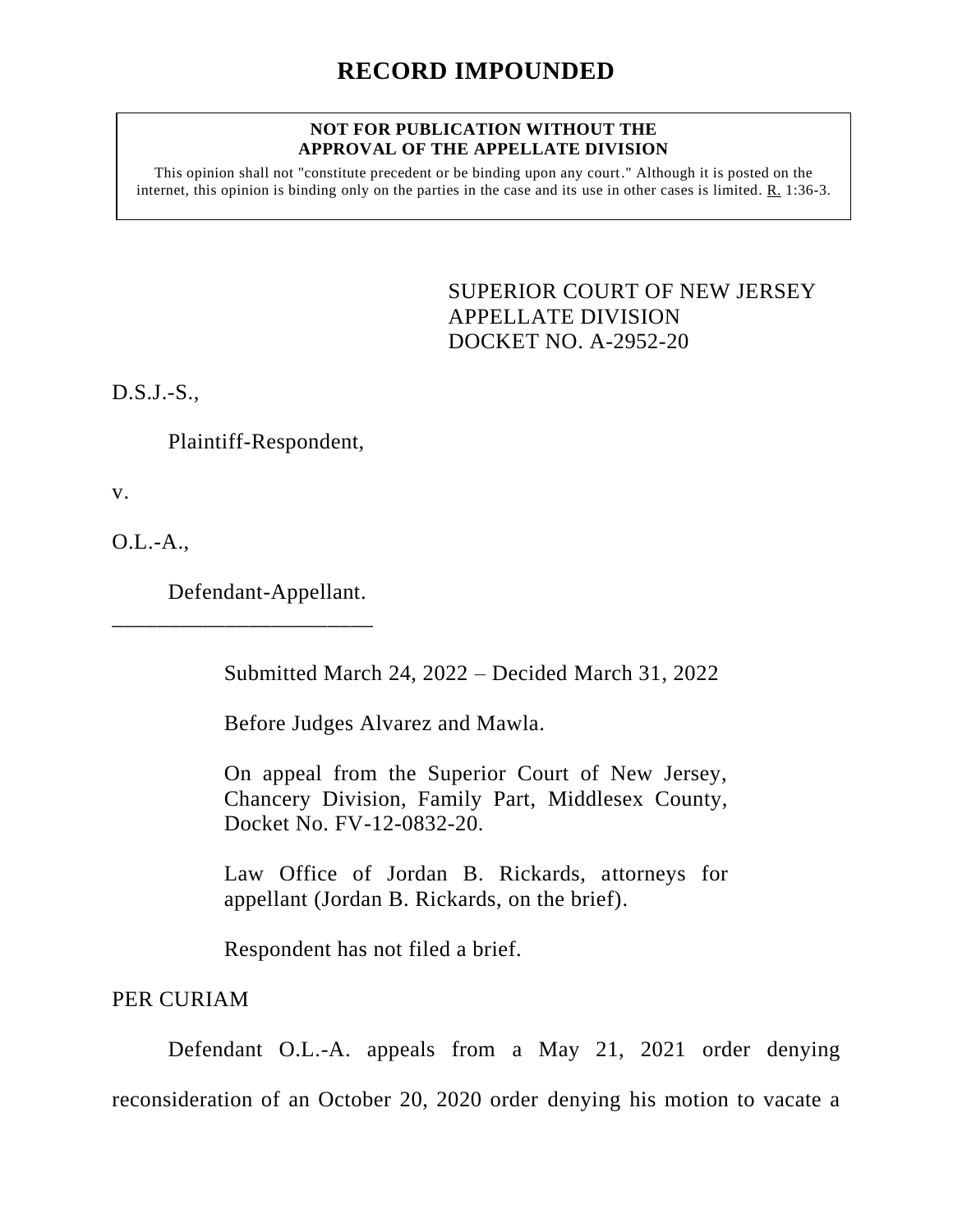## **NOT FOR PUBLICATION WITHOUT THE APPROVAL OF THE APPELLATE DIVISION**

This opinion shall not "constitute precedent or be binding upon any court." Although it is posted on the internet, this opinion is binding only on the parties in the case and its use in other cases is limited. R. 1:36-3.

> <span id="page-0-0"></span>SUPERIOR COURT OF NEW JERSEY APPELLATE DIVISION DOCKET NO. A-2952-20

D.S.J.-S.,

Plaintiff-Respondent,

v.

 $O.L.-A...$ 

Defendant-Appellant.

\_\_\_\_\_\_\_\_\_\_\_\_\_\_\_\_\_\_\_\_\_\_\_

Submitted March 24, 2022 – Decided March 31, 2022

Before Judges Alvarez and Mawla.

On appeal from the Superior Court of New Jersey, Chancery Division, Family Part, Middlesex County, Docket No. FV-12-0832-20.

Law Office of Jordan B. Rickards, attorneys for appellant (Jordan B. Rickards, on the brief).

Respondent has not filed a brief.

PER CURIAM

Defendant O.L.-A. appeals from a May 21, 2021 order denying reconsideration of an October 20, 2020 order denying his motion to vacate a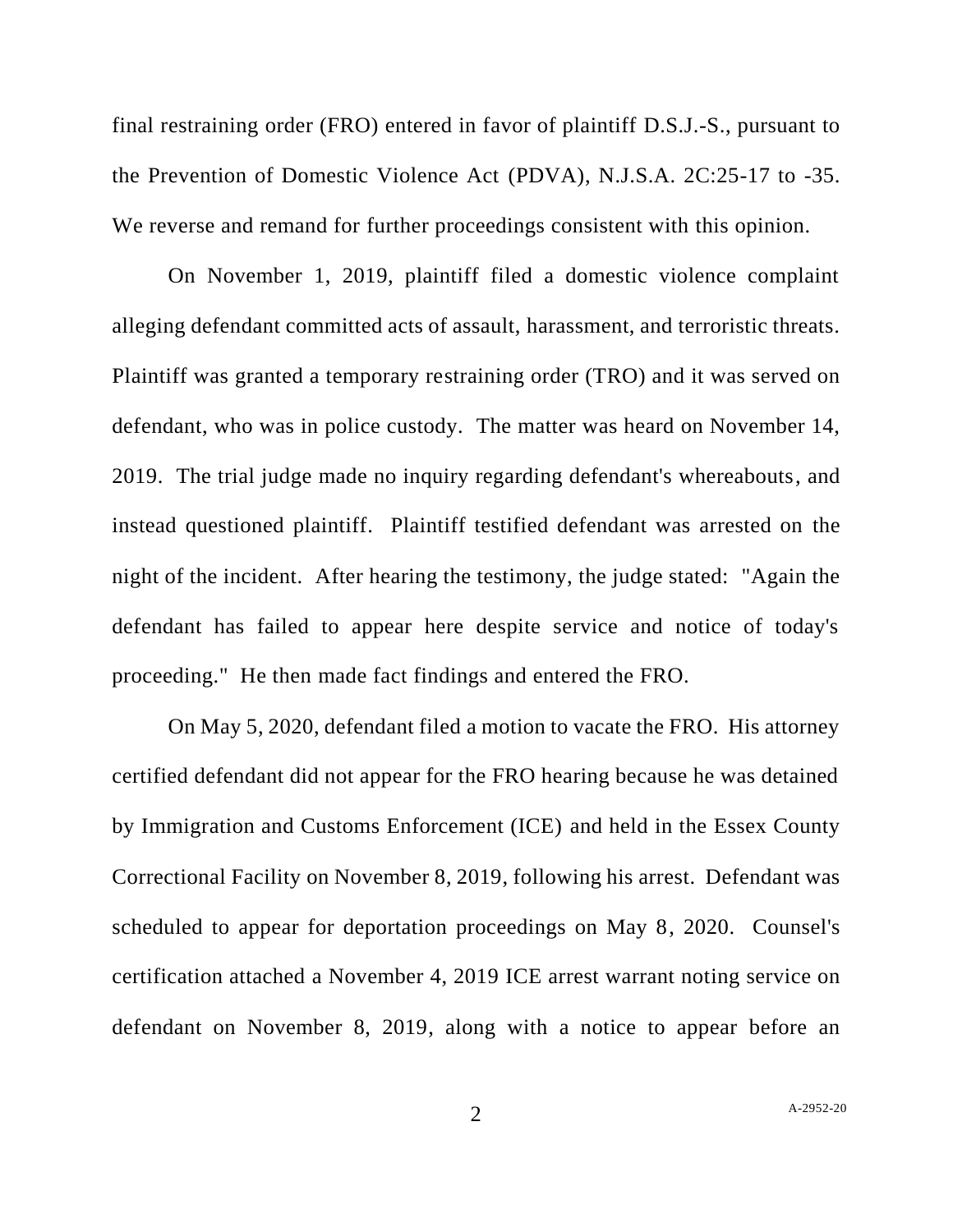final restraining order (FRO) entered in favor of plaintiff D.S.J.-S., pursuant to the Prevention of Domestic Violence Act (PDVA), N.J.S.A. 2C:25-17 to -35. We reverse and remand for further proceedings consistent with this opinion.

On November 1, 2019, plaintiff filed a domestic violence complaint alleging defendant committed acts of assault, harassment, and terroristic threats. Plaintiff was granted a temporary restraining order (TRO) and it was served on defendant, who was in police custody. The matter was heard on November 14, 2019. The trial judge made no inquiry regarding defendant's whereabouts, and instead questioned plaintiff. Plaintiff testified defendant was arrested on the night of the incident. After hearing the testimony, the judge stated: "Again the defendant has failed to appear here despite service and notice of today's proceeding." He then made fact findings and entered the FRO.

On May 5, 2020, defendant filed a motion to vacate the FRO. His attorney certified defendant did not appear for the FRO hearing because he was detained by Immigration and Customs Enforcement (ICE) and held in the Essex County Correctional Facility on November 8, 2019, following his arrest. Defendant was scheduled to appear for deportation proceedings on May 8, 2020. Counsel's certification attached a November 4, 2019 ICE arrest warrant noting service on defendant on November 8, 2019, along with a notice to appear before an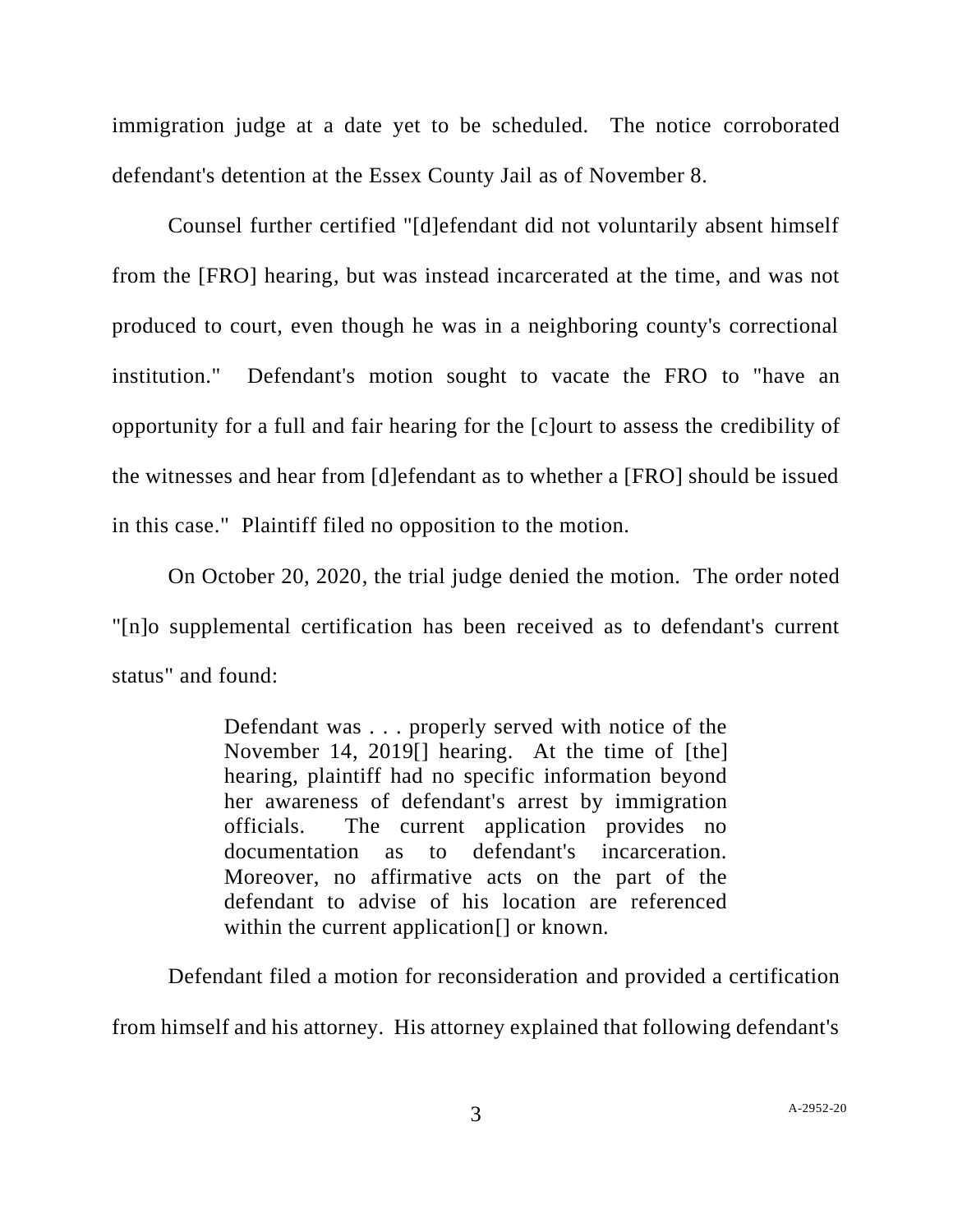immigration judge at a date yet to be scheduled. The notice corroborated defendant's detention at the Essex County Jail as of November 8.

Counsel further certified "[d]efendant did not voluntarily absent himself from the [FRO] hearing, but was instead incarcerated at the time, and was not produced to court, even though he was in a neighboring county's correctional institution." Defendant's motion sought to vacate the FRO to "have an opportunity for a full and fair hearing for the [c]ourt to assess the credibility of the witnesses and hear from [d]efendant as to whether a [FRO] should be issued in this case." Plaintiff filed no opposition to the motion.

On October 20, 2020, the trial judge denied the motion. The order noted "[n]o supplemental certification has been received as to defendant's current status" and found:

> Defendant was . . . properly served with notice of the November 14, 2019[] hearing. At the time of [the] hearing, plaintiff had no specific information beyond her awareness of defendant's arrest by immigration officials. The current application provides no documentation as to defendant's incarceration. Moreover, no affirmative acts on the part of the defendant to advise of his location are referenced within the current application<sup>[]</sup> or known.

Defendant filed a motion for reconsideration and provided a certification from himself and his attorney. His attorney explained that following defendant's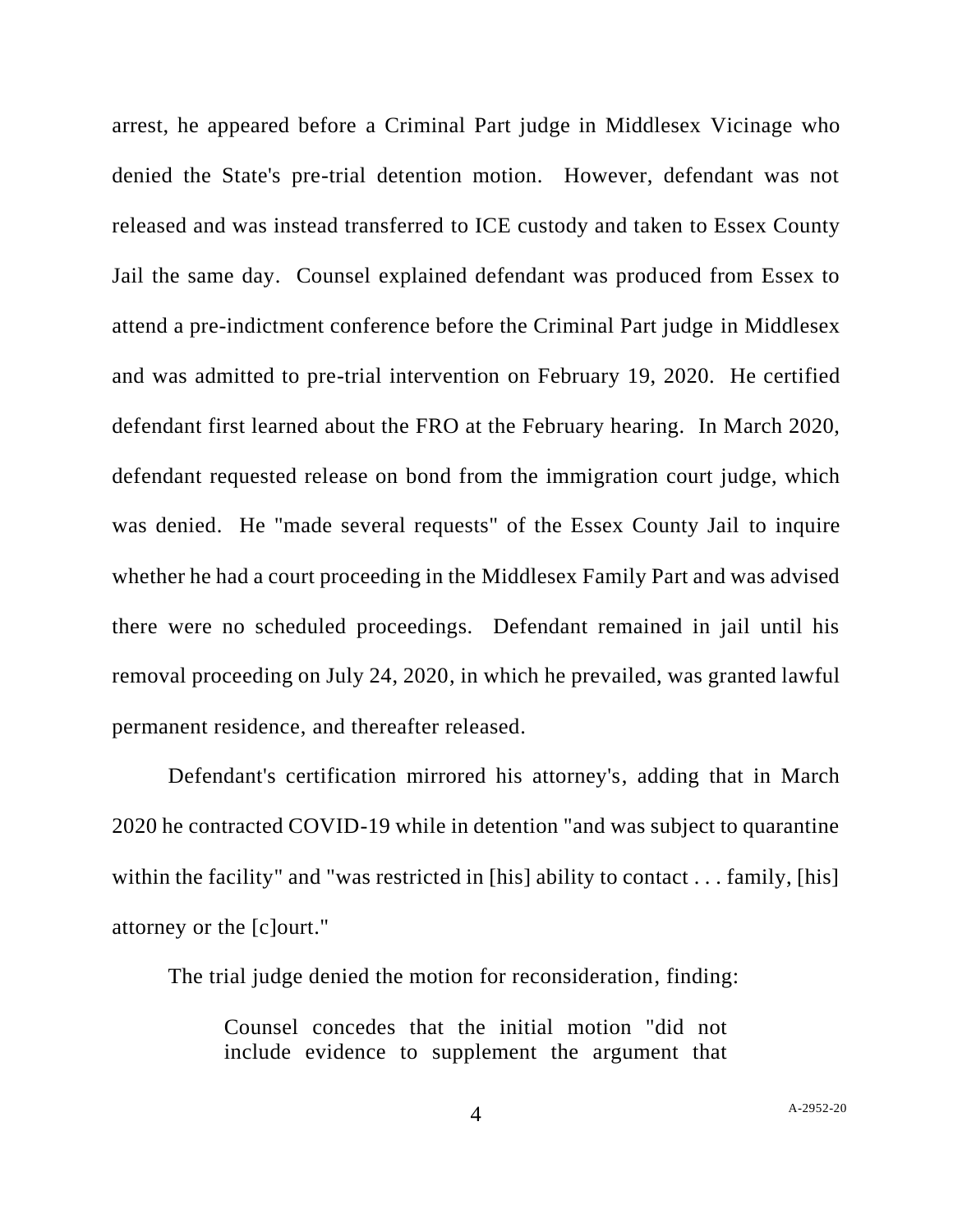arrest, he appeared before a Criminal Part judge in Middlesex Vicinage who denied the State's pre-trial detention motion. However, defendant was not released and was instead transferred to ICE custody and taken to Essex County Jail the same day. Counsel explained defendant was produced from Essex to attend a pre-indictment conference before the Criminal Part judge in Middlesex and was admitted to pre-trial intervention on February 19, 2020. He certified defendant first learned about the FRO at the February hearing. In March 2020, defendant requested release on bond from the immigration court judge, which was denied. He "made several requests" of the Essex County Jail to inquire whether he had a court proceeding in the Middlesex Family Part and was advised there were no scheduled proceedings. Defendant remained in jail until his removal proceeding on July 24, 2020, in which he prevailed, was granted lawful permanent residence, and thereafter released.

Defendant's certification mirrored his attorney's, adding that in March 2020 he contracted COVID-19 while in detention "and was subject to quarantine within the facility" and "was restricted in [his] ability to contact . . . family, [his] attorney or the [c]ourt."

The trial judge denied the motion for reconsideration, finding:

Counsel concedes that the initial motion "did not include evidence to supplement the argument that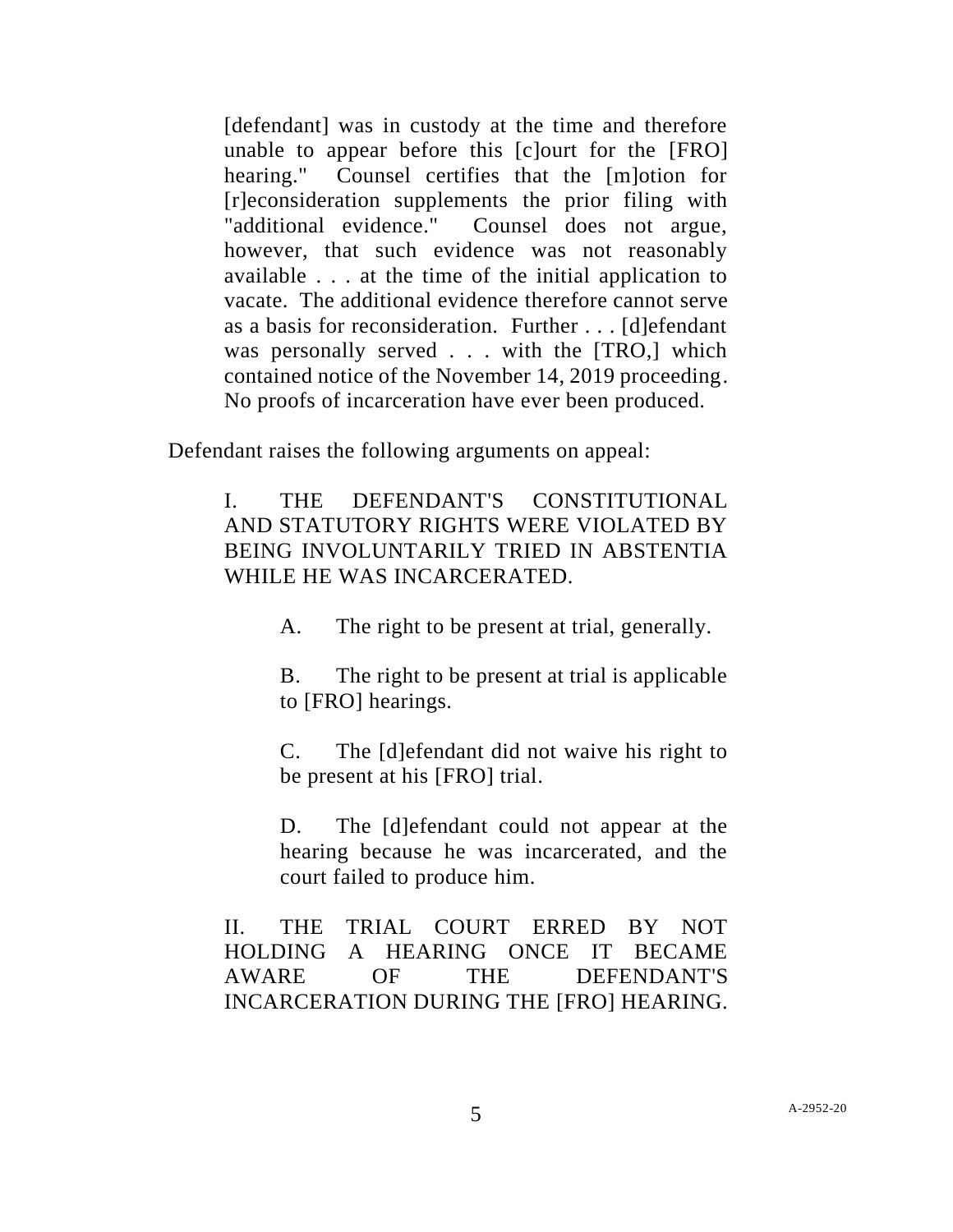[defendant] was in custody at the time and therefore unable to appear before this [c]ourt for the [FRO] hearing." Counsel certifies that the [m]otion for [r]econsideration supplements the prior filing with "additional evidence." Counsel does not argue, however, that such evidence was not reasonably available . . . at the time of the initial application to vacate. The additional evidence therefore cannot serve as a basis for reconsideration. Further . . . [d]efendant was personally served . . . with the [TRO,] which contained notice of the November 14, 2019 proceeding. No proofs of incarceration have ever been produced.

Defendant raises the following arguments on appeal:

## I. THE DEFENDANT'S CONSTITUTIONAL AND STATUTORY RIGHTS WERE VIOLATED BY BEING INVOLUNTARILY TRIED IN ABSTENTIA WHILE HE WAS INCARCERATED.

A. The right to be present at trial, generally.

B. The right to be present at trial is applicable to [FRO] hearings.

C. The [d]efendant did not waive his right to be present at his [FRO] trial.

D. The [d]efendant could not appear at the hearing because he was incarcerated, and the court failed to produce him.

II. THE TRIAL COURT ERRED BY NOT HOLDING A HEARING ONCE IT BECAME AWARE OF THE DEFENDANT'S INCARCERATION DURING THE [FRO] HEARING.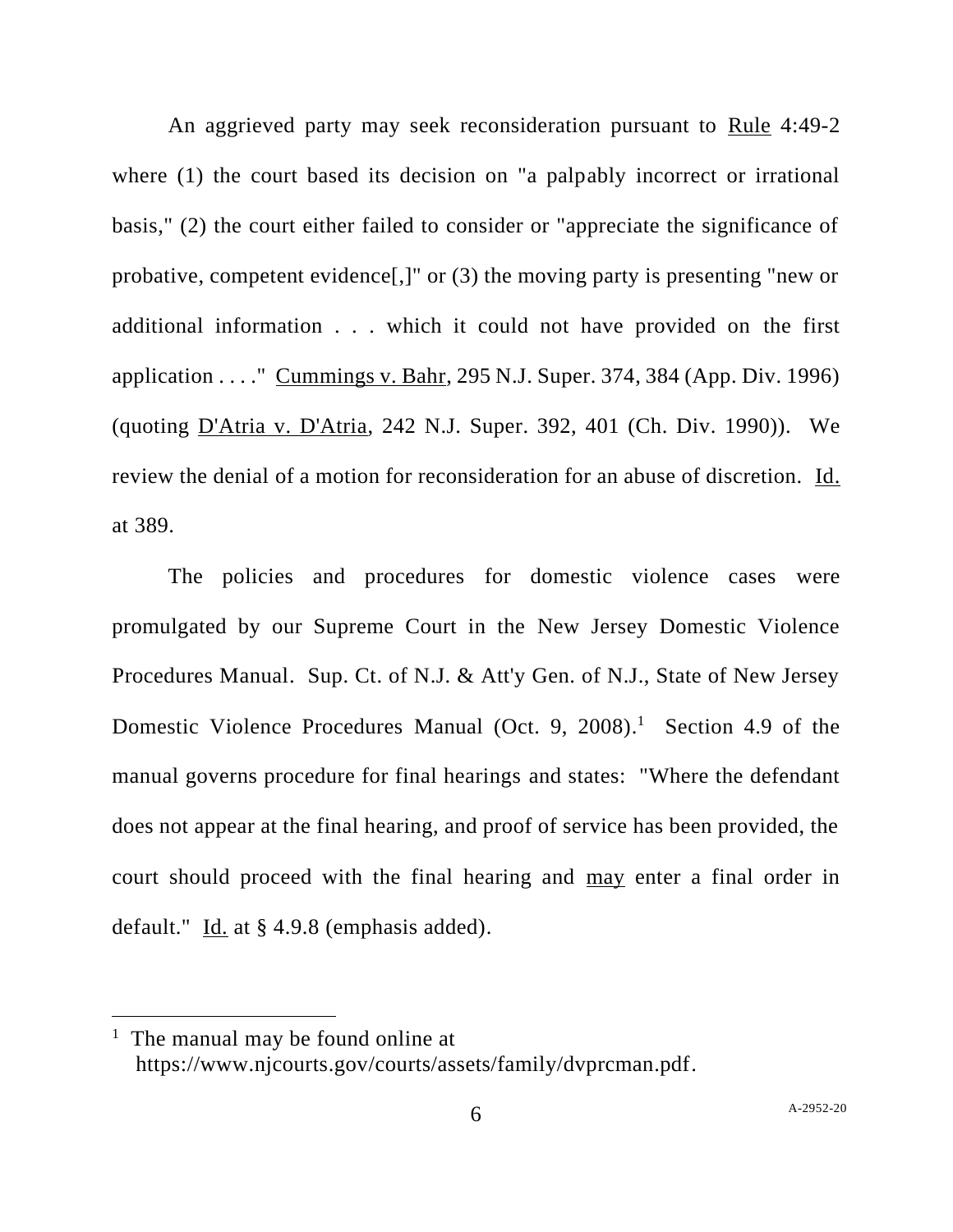An aggrieved party may seek reconsideration pursuant to Rule 4:49-2 where (1) the court based its decision on "a palpably incorrect or irrational basis," (2) the court either failed to consider or "appreciate the significance of probative, competent evidence[,]" or (3) the moving party is presenting "new or additional information . . . which it could not have provided on the first application . . . ." Cummings v. Bahr, 295 N.J. Super. 374, 384 (App. Div. 1996) (quoting D'Atria v. D'Atria, 242 N.J. Super. 392, 401 (Ch. Div. 1990)). We review the denial of a motion for reconsideration for an abuse of discretion. Id. at 389.

The policies and procedures for domestic violence cases were promulgated by our Supreme Court in the New Jersey Domestic Violence Procedures Manual. Sup. Ct. of N.J. & Att'y Gen. of N.J., State of New Jersey Domestic Violence Procedures Manual (Oct. 9, 2008). <sup>1</sup> Section 4.9 of the manual governs procedure for final hearings and states: "Where the defendant does not appear at the final hearing, and proof of service has been provided, the court should proceed with the final hearing and may enter a final order in default." Id. at § 4.9.8 (emphasis added).

 $<sup>1</sup>$  The manual may be found online at</sup> https://www.njcourts.gov/courts/assets/family/dvprcman.pdf.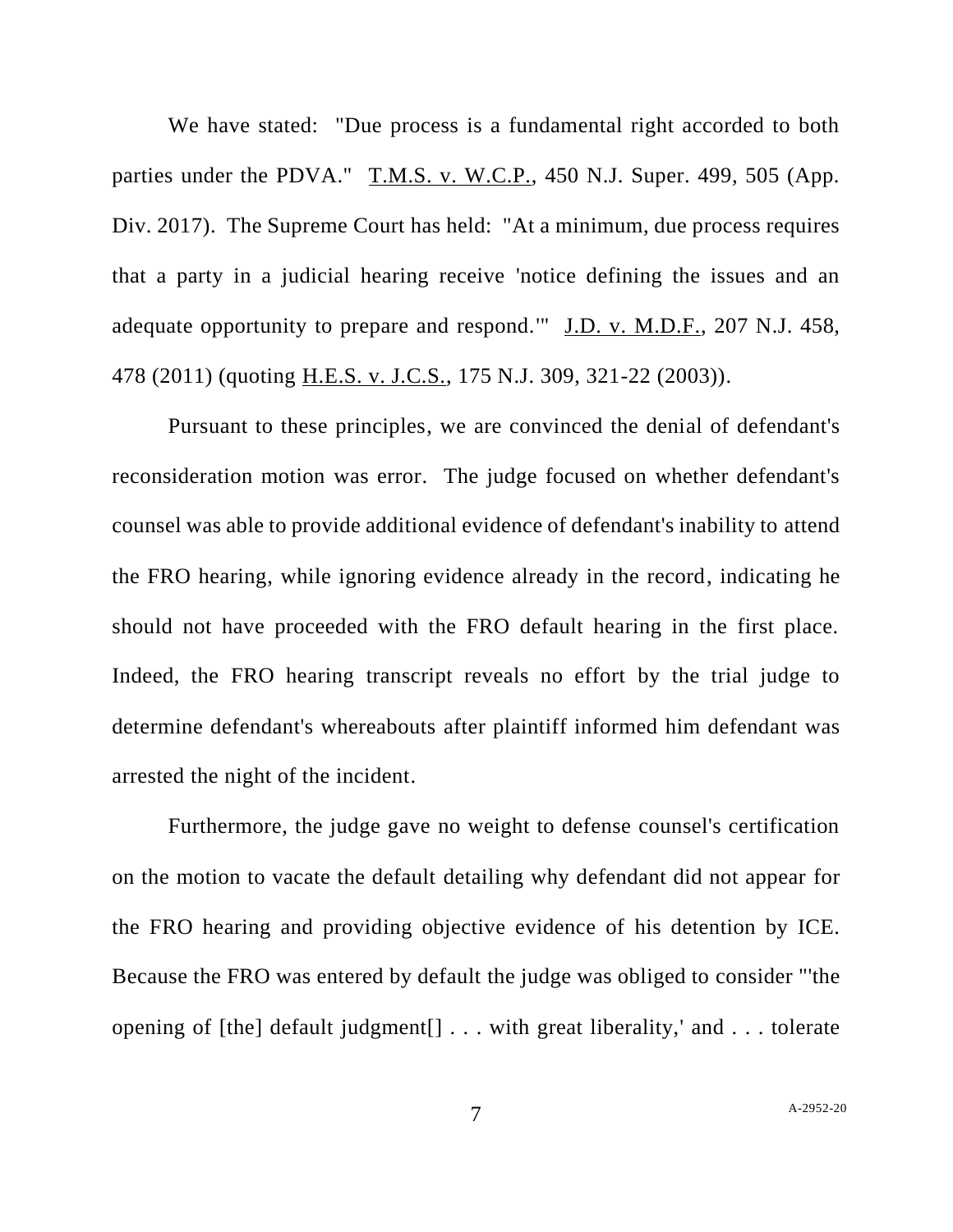We have stated: "Due process is a fundamental right accorded to both parties under the PDVA." T.M.S. v. W.C.P., 450 N.J. Super. 499, 505 (App. Div. 2017). The Supreme Court has held: "At a minimum, due process requires that a party in a judicial hearing receive 'notice defining the issues and an adequate opportunity to prepare and respond.'" J.D. v. M.D.F., 207 N.J. 458, 478 (2011) (quoting H.E.S. v. J.C.S., 175 N.J. 309, 321-22 (2003)).

Pursuant to these principles, we are convinced the denial of defendant's reconsideration motion was error. The judge focused on whether defendant's counsel was able to provide additional evidence of defendant's inability to attend the FRO hearing, while ignoring evidence already in the record, indicating he should not have proceeded with the FRO default hearing in the first place. Indeed, the FRO hearing transcript reveals no effort by the trial judge to determine defendant's whereabouts after plaintiff informed him defendant was arrested the night of the incident.

Furthermore, the judge gave no weight to defense counsel's certification on the motion to vacate the default detailing why defendant did not appear for the FRO hearing and providing objective evidence of his detention by ICE. Because the FRO was entered by default the judge was obliged to consider "'the opening of [the] default judgment[] . . . with great liberality,' and . . . tolerate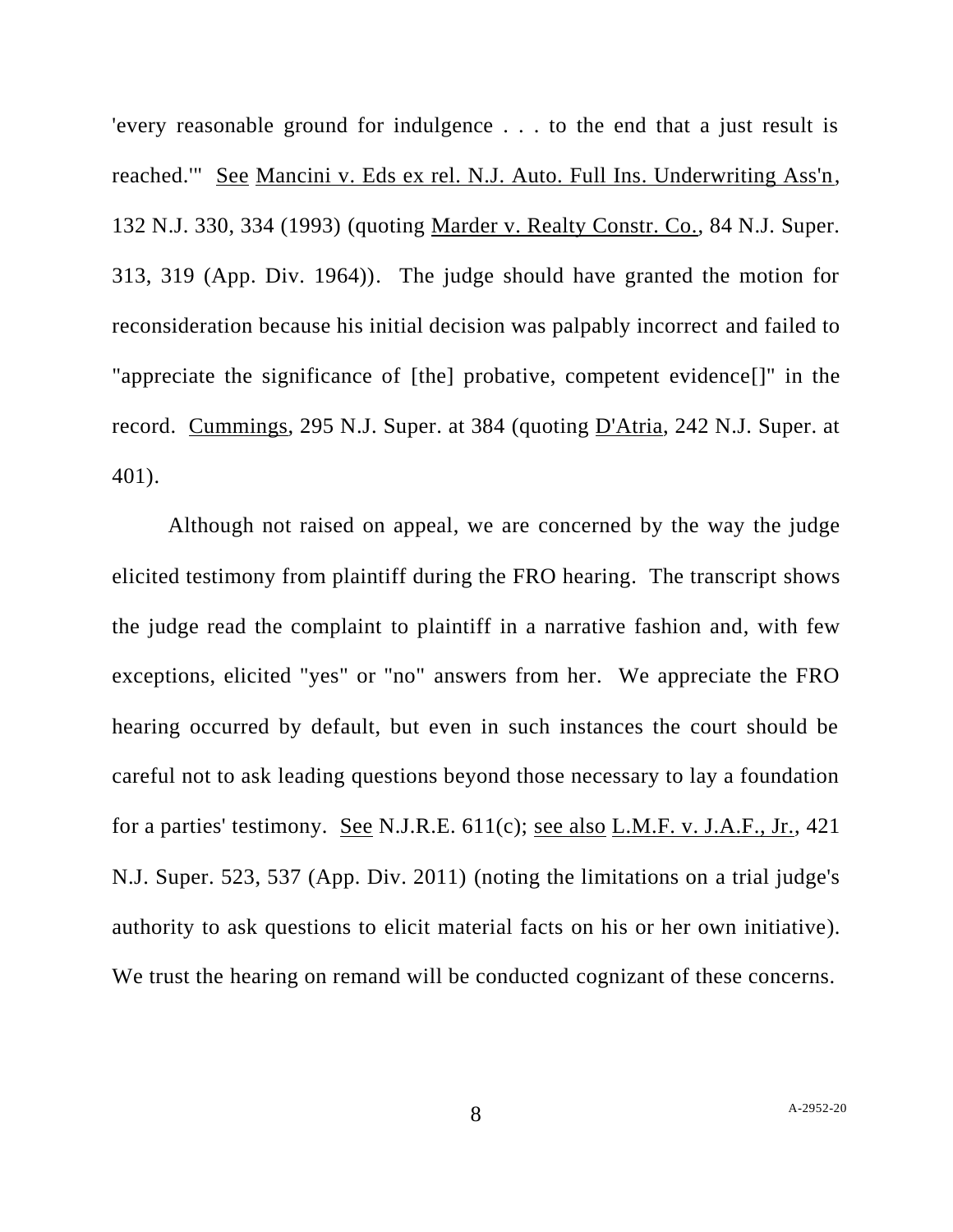'every reasonable ground for indulgence . . . to the end that a just result is reached.'" See Mancini v. Eds ex rel. N.J. Auto. Full Ins. Underwriting Ass'n, 132 N.J. 330, 334 (1993) (quoting Marder v. Realty Constr. Co., 84 N.J. Super. 313, 319 (App. Div. 1964)). The judge should have granted the motion for reconsideration because his initial decision was palpably incorrect and failed to "appreciate the significance of [the] probative, competent evidence[]" in the record. Cummings, 295 N.J. Super. at 384 (quoting D'Atria, 242 N.J. Super. at 401).

Although not raised on appeal, we are concerned by the way the judge elicited testimony from plaintiff during the FRO hearing. The transcript shows the judge read the complaint to plaintiff in a narrative fashion and, with few exceptions, elicited "yes" or "no" answers from her. We appreciate the FRO hearing occurred by default, but even in such instances the court should be careful not to ask leading questions beyond those necessary to lay a foundation for a parties' testimony. See N.J.R.E. 611(c); see also L.M.F. v. J.A.F., Jr., 421 N.J. Super. 523, 537 (App. Div. 2011) (noting the limitations on a trial judge's authority to ask questions to elicit material facts on his or her own initiative). We trust the hearing on remand will be conducted cognizant of these concerns.